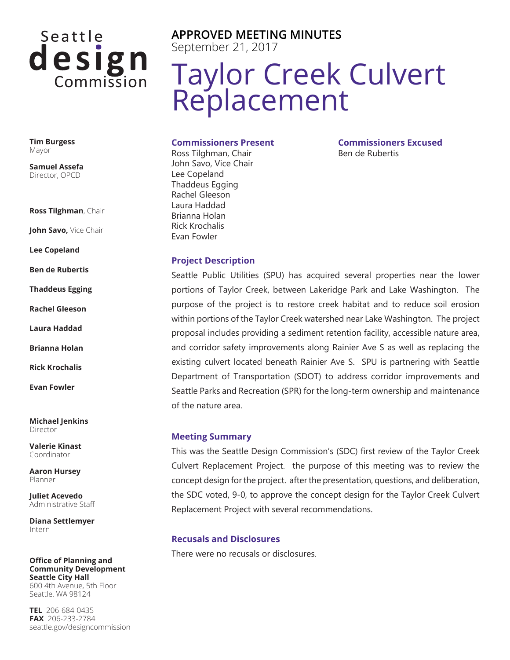# Seattle design

**Tim Burgess** Mayor

**Samuel Assefa** Director, OPCD

**Ross Tilghman**, Chair

**John Savo,** Vice Chair

**Lee Copeland**

**Ben de Rubertis**

**Thaddeus Egging**

**Rachel Gleeson**

**Laura Haddad**

**Brianna Holan**

**Rick Krochalis**

**Evan Fowler**

**Michael Jenkins** Director

**Valerie Kinast** Coordinator

**Aaron Hursey** Planner

**Juliet Acevedo** Administrative Staff

**Diana Settlemyer** Intern

**Office of Planning and Community Development Seattle City Hall** 600 4th Avenue, 5th Floor Seattle, WA 98124

**TEL** 206-684-0435 **FAX** 206-233-2784 seattle.gov/designcommission **APPROVED MEETING MINUTES** September 21, 2017

## Taylor Creek Culvert Replacement

**Commissioners Present**

Ross Tilghman, Chair John Savo, Vice Chair Lee Copeland Thaddeus Egging Rachel Gleeson Laura Haddad Brianna Holan Rick Krochalis Evan Fowler

**Commissioners Excused** Ben de Rubertis

#### **Project Description**

Seattle Public Utilities (SPU) has acquired several properties near the lower portions of Taylor Creek, between Lakeridge Park and Lake Washington. The purpose of the project is to restore creek habitat and to reduce soil erosion within portions of the Taylor Creek watershed near Lake Washington. The project proposal includes providing a sediment retention facility, accessible nature area, and corridor safety improvements along Rainier Ave S as well as replacing the existing culvert located beneath Rainier Ave S. SPU is partnering with Seattle Department of Transportation (SDOT) to address corridor improvements and Seattle Parks and Recreation (SPR) for the long-term ownership and maintenance of the nature area.

#### **Meeting Summary**

This was the Seattle Design Commission's (SDC) first review of the Taylor Creek Culvert Replacement Project. the purpose of this meeting was to review the concept design for the project. after the presentation, questions, and deliberation, the SDC voted, 9-0, to approve the concept design for the Taylor Creek Culvert Replacement Project with several recommendations.

#### **Recusals and Disclosures**

There were no recusals or disclosures.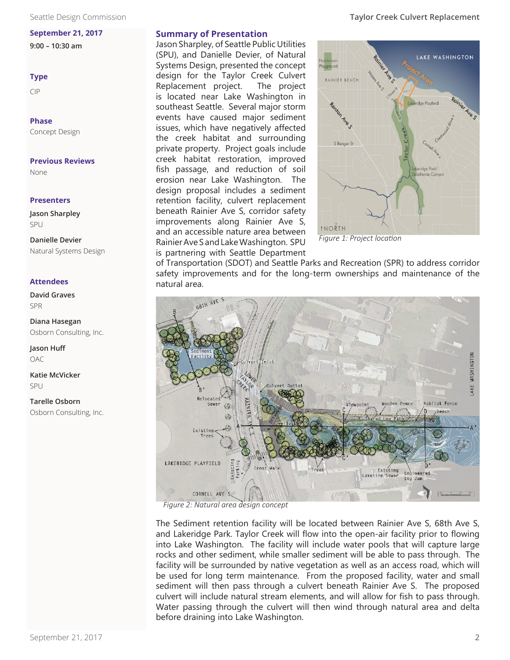#### **September 21, 2017**

**9:00 – 10:30 am**

#### **Type**

CIP

**Phase** Concept Design

#### **Previous Reviews**

None

#### **Presenters**

**Jason Sharpley** SPU

**Danielle Devier** Natural Systems Design

#### **Attendees**

**David Graves** SPR

**Diana Hasegan** Osborn Consulting, Inc.

**Jason Huff** OAC

**Katie McVicker** SPU

**Tarelle Osborn** Osborn Consulting, Inc.

#### **Summary of Presentation**

Jason Sharpley, of Seattle Public Utilities (SPU), and Danielle Devier, of Natural Systems Design, presented the concept design for the Taylor Creek Culvert Replacement project. The project is located near Lake Washington in southeast Seattle. Several major storm events have caused major sediment issues, which have negatively affected the creek habitat and surrounding private property. Project goals include creek habitat restoration, improved fish passage, and reduction of soil erosion near Lake Washington. The design proposal includes a sediment retention facility, culvert replacement beneath Rainier Ave S, corridor safety improvements along Rainier Ave S, and an accessible nature area between Rainier Ave S and Lake Washington. SPU is partnering with Seattle Department



 *Figure 1: Project location*

of Transportation (SDOT) and Seattle Parks and Recreation (SPR) to address corridor safety improvements and for the long-term ownerships and maintenance of the natural area.



*Figure 2: Natural area design concept*

The Sediment retention facility will be located between Rainier Ave S, 68th Ave S, and Lakeridge Park. Taylor Creek will flow into the open-air facility prior to flowing into Lake Washington. The facility will include water pools that will capture large rocks and other sediment, while smaller sediment will be able to pass through. The facility will be surrounded by native vegetation as well as an access road, which will be used for long term maintenance. From the proposed facility, water and small sediment will then pass through a culvert beneath Rainier Ave S. The proposed culvert will include natural stream elements, and will allow for fish to pass through. Water passing through the culvert will then wind through natural area and delta before draining into Lake Washington.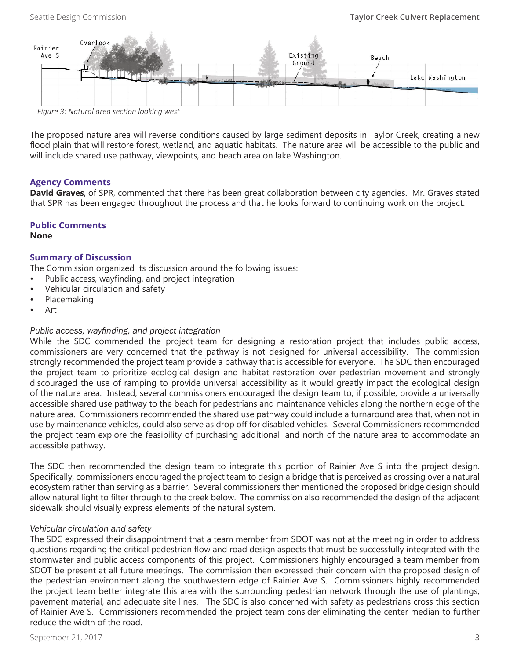| Rainier<br>Ave S | Overlook                                      |                           | Existing<br>Ground | Beach |                 |
|------------------|-----------------------------------------------|---------------------------|--------------------|-------|-----------------|
|                  |                                               | <b>COLOR AND PROPERTY</b> |                    |       | Lake Washington |
|                  | Figure 2. Natural ques esstien les line unest |                           |                    |       |                 |

*Figure 3: Natural area section looking west*

The proposed nature area will reverse conditions caused by large sediment deposits in Taylor Creek, creating a new flood plain that will restore forest, wetland, and aquatic habitats. The nature area will be accessible to the public and will include shared use pathway, viewpoints, and beach area on lake Washington.

#### **Agency Comments**

**David Graves**, of SPR, commented that there has been great collaboration between city agencies. Mr. Graves stated that SPR has been engaged throughout the process and that he looks forward to continuing work on the project.

### **Public Comments**

#### **None**

#### **Summary of Discussion**

The Commission organized its discussion around the following issues:

- Public access, wayfinding, and project integration
- Vehicular circulation and safety
- Placemaking
- Art

#### *Public access, wayfinding, and project integration*

While the SDC commended the project team for designing a restoration project that includes public access, commissioners are very concerned that the pathway is not designed for universal accessibility. The commission strongly recommended the project team provide a pathway that is accessible for everyone. The SDC then encouraged the project team to prioritize ecological design and habitat restoration over pedestrian movement and strongly discouraged the use of ramping to provide universal accessibility as it would greatly impact the ecological design of the nature area. Instead, several commissioners encouraged the design team to, if possible, provide a universally accessible shared use pathway to the beach for pedestrians and maintenance vehicles along the northern edge of the nature area. Commissioners recommended the shared use pathway could include a turnaround area that, when not in use by maintenance vehicles, could also serve as drop off for disabled vehicles. Several Commissioners recommended the project team explore the feasibility of purchasing additional land north of the nature area to accommodate an accessible pathway.

The SDC then recommended the design team to integrate this portion of Rainier Ave S into the project design. Specifically, commissioners encouraged the project team to design a bridge that is perceived as crossing over a natural ecosystem rather than serving as a barrier. Several commissioners then mentioned the proposed bridge design should allow natural light to filter through to the creek below. The commission also recommended the design of the adjacent sidewalk should visually express elements of the natural system.

#### *Vehicular circulation and safety*

The SDC expressed their disappointment that a team member from SDOT was not at the meeting in order to address questions regarding the critical pedestrian flow and road design aspects that must be successfully integrated with the stormwater and public access components of this project. Commissioners highly encouraged a team member from SDOT be present at all future meetings. The commission then expressed their concern with the proposed design of the pedestrian environment along the southwestern edge of Rainier Ave S. Commissioners highly recommended the project team better integrate this area with the surrounding pedestrian network through the use of plantings, pavement material, and adequate site lines. The SDC is also concerned with safety as pedestrians cross this section of Rainier Ave S. Commissioners recommended the project team consider eliminating the center median to further reduce the width of the road.